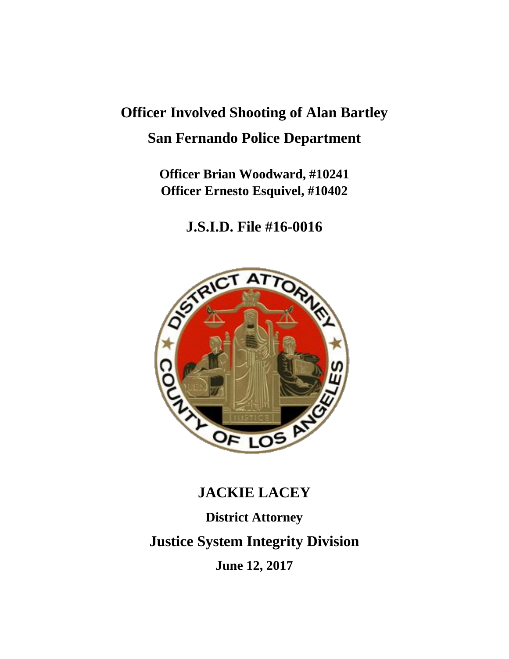# **Officer Involved Shooting of Alan Bartley San Fernando Police Department**

**Officer Brian Woodward, #10241 Officer Ernesto Esquivel, #10402**

**J.S.I.D. File #16-0016**



# **JACKIE LACEY**

**District Attorney Justice System Integrity Division June 12, 2017**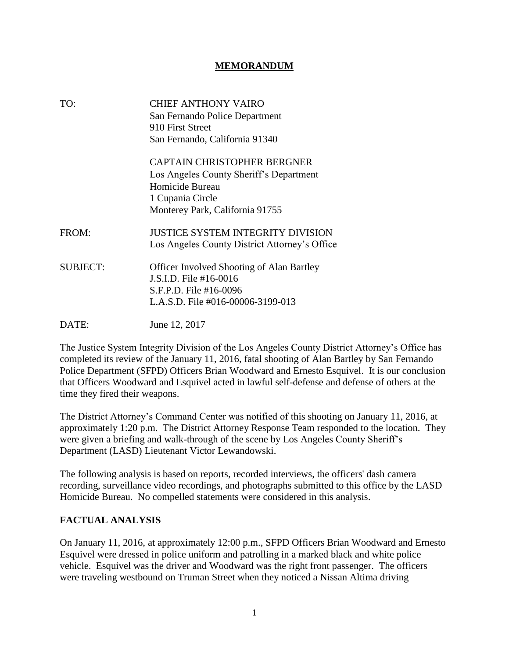#### **MEMORANDUM**

| TO:             | CHIEF ANTHONY VAIRO                              |
|-----------------|--------------------------------------------------|
|                 | San Fernando Police Department                   |
|                 | 910 First Street                                 |
|                 | San Fernando, California 91340                   |
|                 | <b>CAPTAIN CHRISTOPHER BERGNER</b>               |
|                 | Los Angeles County Sheriff's Department          |
|                 | Homicide Bureau                                  |
|                 | 1 Cupania Circle                                 |
|                 | Monterey Park, California 91755                  |
| FROM:           | <b>JUSTICE SYSTEM INTEGRITY DIVISION</b>         |
|                 | Los Angeles County District Attorney's Office    |
| <b>SUBJECT:</b> | <b>Officer Involved Shooting of Alan Bartley</b> |
|                 | J.S.I.D. File #16-0016                           |
|                 | S.F.P.D. File #16-0096                           |
|                 | L.A.S.D. File #016-00006-3199-013                |
| DATE:           | June 12, 2017                                    |

The Justice System Integrity Division of the Los Angeles County District Attorney's Office has completed its review of the January 11, 2016, fatal shooting of Alan Bartley by San Fernando Police Department (SFPD) Officers Brian Woodward and Ernesto Esquivel. It is our conclusion that Officers Woodward and Esquivel acted in lawful self-defense and defense of others at the time they fired their weapons.

The District Attorney's Command Center was notified of this shooting on January 11, 2016, at approximately 1:20 p.m. The District Attorney Response Team responded to the location. They were given a briefing and walk-through of the scene by Los Angeles County Sheriff's Department (LASD) Lieutenant Victor Lewandowski.

The following analysis is based on reports, recorded interviews, the officers' dash camera recording, surveillance video recordings, and photographs submitted to this office by the LASD Homicide Bureau. No compelled statements were considered in this analysis.

### **FACTUAL ANALYSIS**

On January 11, 2016, at approximately 12:00 p.m., SFPD Officers Brian Woodward and Ernesto Esquivel were dressed in police uniform and patrolling in a marked black and white police vehicle. Esquivel was the driver and Woodward was the right front passenger. The officers were traveling westbound on Truman Street when they noticed a Nissan Altima driving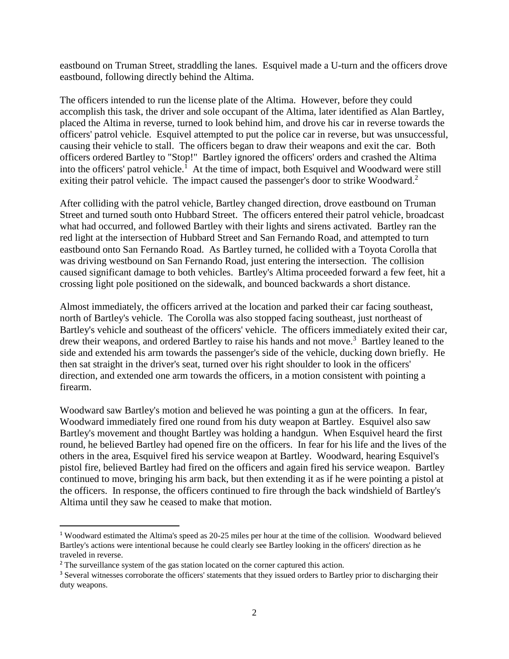eastbound on Truman Street, straddling the lanes. Esquivel made a U-turn and the officers drove eastbound, following directly behind the Altima.

The officers intended to run the license plate of the Altima. However, before they could accomplish this task, the driver and sole occupant of the Altima, later identified as Alan Bartley, placed the Altima in reverse, turned to look behind him, and drove his car in reverse towards the officers' patrol vehicle. Esquivel attempted to put the police car in reverse, but was unsuccessful, causing their vehicle to stall. The officers began to draw their weapons and exit the car. Both officers ordered Bartley to "Stop!" Bartley ignored the officers' orders and crashed the Altima into the officers' patrol vehicle.<sup>1</sup> At the time of impact, both Esquivel and Woodward were still exiting their patrol vehicle. The impact caused the passenger's door to strike Woodward.<sup>2</sup>

After colliding with the patrol vehicle, Bartley changed direction, drove eastbound on Truman Street and turned south onto Hubbard Street. The officers entered their patrol vehicle, broadcast what had occurred, and followed Bartley with their lights and sirens activated. Bartley ran the red light at the intersection of Hubbard Street and San Fernando Road, and attempted to turn eastbound onto San Fernando Road. As Bartley turned, he collided with a Toyota Corolla that was driving westbound on San Fernando Road, just entering the intersection. The collision caused significant damage to both vehicles. Bartley's Altima proceeded forward a few feet, hit a crossing light pole positioned on the sidewalk, and bounced backwards a short distance.

Almost immediately, the officers arrived at the location and parked their car facing southeast, north of Bartley's vehicle. The Corolla was also stopped facing southeast, just northeast of Bartley's vehicle and southeast of the officers' vehicle. The officers immediately exited their car, drew their weapons, and ordered Bartley to raise his hands and not move.<sup>3</sup> Bartley leaned to the side and extended his arm towards the passenger's side of the vehicle, ducking down briefly. He then sat straight in the driver's seat, turned over his right shoulder to look in the officers' direction, and extended one arm towards the officers, in a motion consistent with pointing a firearm.

Woodward saw Bartley's motion and believed he was pointing a gun at the officers. In fear, Woodward immediately fired one round from his duty weapon at Bartley. Esquivel also saw Bartley's movement and thought Bartley was holding a handgun. When Esquivel heard the first round, he believed Bartley had opened fire on the officers. In fear for his life and the lives of the others in the area, Esquivel fired his service weapon at Bartley. Woodward, hearing Esquivel's pistol fire, believed Bartley had fired on the officers and again fired his service weapon. Bartley continued to move, bringing his arm back, but then extending it as if he were pointing a pistol at the officers. In response, the officers continued to fire through the back windshield of Bartley's Altima until they saw he ceased to make that motion.

<sup>1</sup> Woodward estimated the Altima's speed as 20-25 miles per hour at the time of the collision. Woodward believed Bartley's actions were intentional because he could clearly see Bartley looking in the officers' direction as he traveled in reverse.

<sup>&</sup>lt;sup>2</sup> The surveillance system of the gas station located on the corner captured this action.

<sup>&</sup>lt;sup>3</sup> Several witnesses corroborate the officers' statements that they issued orders to Bartley prior to discharging their duty weapons.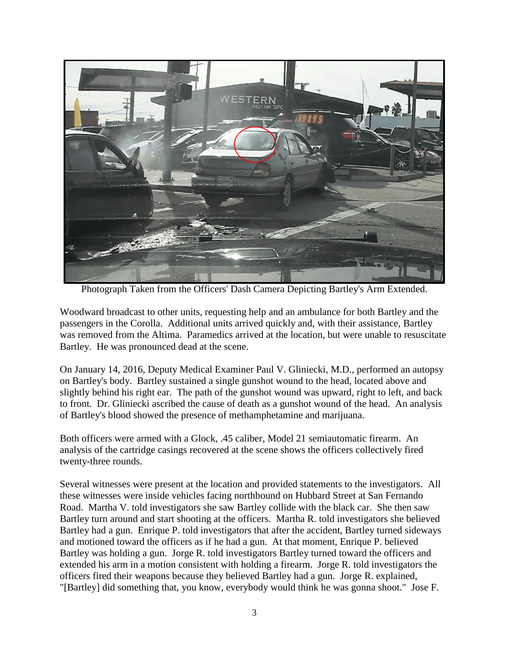

Photograph Taken from the Officers' Dash Camera Depicting Bartley's Arm Extended.

Woodward broadcast to other units, requesting help and an ambulance for both Bartley and the passengers in the Corolla. Additional units arrived quickly and, with their assistance, Bartley was removed from the Altima. Paramedics arrived at the location, but were unable to resuscitate Bartley. He was pronounced dead at the scene.

On January 14, 2016, Deputy Medical Examiner Paul V. Gliniecki, M.D., performed an autopsy on Bartley's body. Bartley sustained a single gunshot wound to the head, located above and slightly behind his right ear. The path of the gunshot wound was upward, right to left, and back to front. Dr. Gliniecki ascribed the cause of death as a gunshot wound of the head. An analysis of Bartley's blood showed the presence of methamphetamine and marijuana.

Both officers were armed with a Glock, .45 caliber, Model 21 semiautomatic firearm. An analysis of the cartridge casings recovered at the scene shows the officers collectively fired twenty-three rounds.

Several witnesses were present at the location and provided statements to the investigators. All these witnesses were inside vehicles facing northbound on Hubbard Street at San Fernando Road. Martha V. told investigators she saw Bartley collide with the black car. She then saw Bartley turn around and start shooting at the officers. Martha R. told investigators she believed Bartley had a gun. Enrique P. told investigators that after the accident, Bartley turned sideways and motioned toward the officers as if he had a gun. At that moment, Enrique P. believed Bartley was holding a gun. Jorge R. told investigators Bartley turned toward the officers and extended his arm in a motion consistent with holding a firearm. Jorge R. told investigators the officers fired their weapons because they believed Bartley had a gun. Jorge R. explained, "[Bartley] did something that, you know, everybody would think he was gonna shoot." Jose F.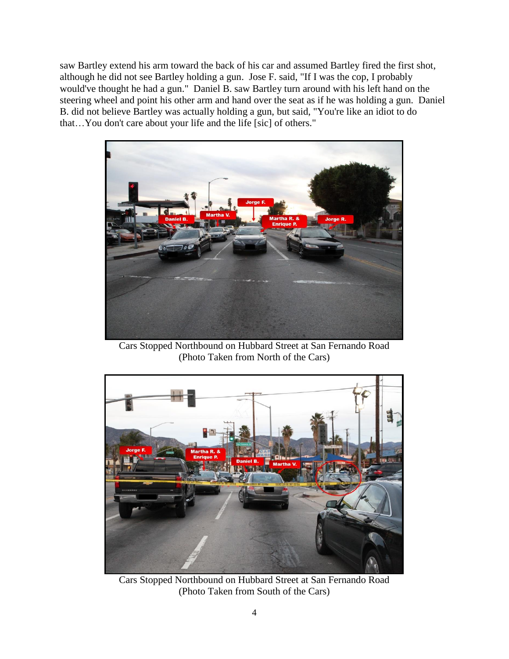saw Bartley extend his arm toward the back of his car and assumed Bartley fired the first shot, although he did not see Bartley holding a gun. Jose F. said, "If I was the cop, I probably would've thought he had a gun." Daniel B. saw Bartley turn around with his left hand on the steering wheel and point his other arm and hand over the seat as if he was holding a gun. Daniel B. did not believe Bartley was actually holding a gun, but said, "You're like an idiot to do that…You don't care about your life and the life [sic] of others."



Cars Stopped Northbound on Hubbard Street at San Fernando Road (Photo Taken from North of the Cars)



Cars Stopped Northbound on Hubbard Street at San Fernando Road (Photo Taken from South of the Cars)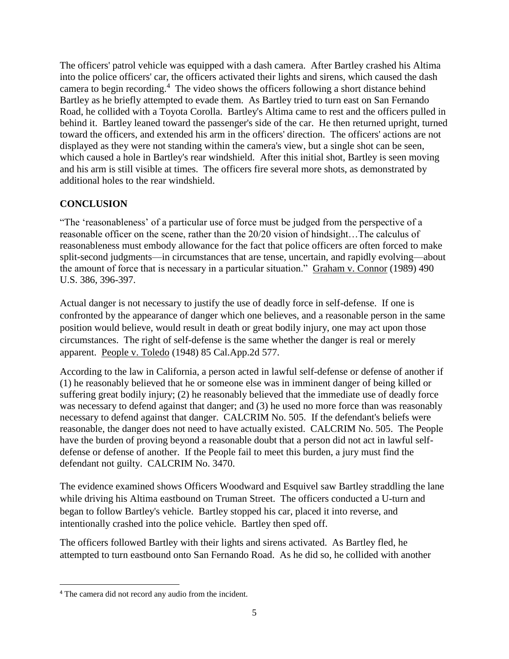The officers' patrol vehicle was equipped with a dash camera. After Bartley crashed his Altima into the police officers' car, the officers activated their lights and sirens, which caused the dash camera to begin recording. 4 The video shows the officers following a short distance behind Bartley as he briefly attempted to evade them. As Bartley tried to turn east on San Fernando Road, he collided with a Toyota Corolla. Bartley's Altima came to rest and the officers pulled in behind it. Bartley leaned toward the passenger's side of the car. He then returned upright, turned toward the officers, and extended his arm in the officers' direction. The officers' actions are not displayed as they were not standing within the camera's view, but a single shot can be seen, which caused a hole in Bartley's rear windshield. After this initial shot, Bartley is seen moving and his arm is still visible at times. The officers fire several more shots, as demonstrated by additional holes to the rear windshield.

## **CONCLUSION**

"The 'reasonableness' of a particular use of force must be judged from the perspective of a reasonable officer on the scene, rather than the 20/20 vision of hindsight…The calculus of reasonableness must embody allowance for the fact that police officers are often forced to make split-second judgments—in circumstances that are tense, uncertain, and rapidly evolving—about the amount of force that is necessary in a particular situation." Graham v. Connor (1989) 490 U.S. 386, 396-397.

Actual danger is not necessary to justify the use of deadly force in self-defense. If one is confronted by the appearance of danger which one believes, and a reasonable person in the same position would believe, would result in death or great bodily injury, one may act upon those circumstances. The right of self-defense is the same whether the danger is real or merely apparent. People v. Toledo (1948) 85 Cal.App.2d 577.

According to the law in California, a person acted in lawful self-defense or defense of another if (1) he reasonably believed that he or someone else was in imminent danger of being killed or suffering great bodily injury; (2) he reasonably believed that the immediate use of deadly force was necessary to defend against that danger; and (3) he used no more force than was reasonably necessary to defend against that danger. CALCRIM No. 505. If the defendant's beliefs were reasonable, the danger does not need to have actually existed. CALCRIM No. 505. The People have the burden of proving beyond a reasonable doubt that a person did not act in lawful selfdefense or defense of another. If the People fail to meet this burden, a jury must find the defendant not guilty. CALCRIM No. 3470.

The evidence examined shows Officers Woodward and Esquivel saw Bartley straddling the lane while driving his Altima eastbound on Truman Street. The officers conducted a U-turn and began to follow Bartley's vehicle. Bartley stopped his car, placed it into reverse, and intentionally crashed into the police vehicle. Bartley then sped off.

The officers followed Bartley with their lights and sirens activated. As Bartley fled, he attempted to turn eastbound onto San Fernando Road. As he did so, he collided with another

 $\overline{\phantom{a}}$ 

<sup>4</sup> The camera did not record any audio from the incident.